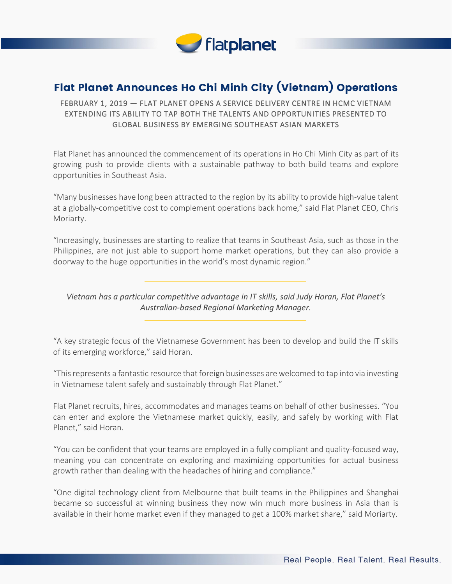

## Flat Planet Announces Ho Chi Minh City (Vietnam) Operations

## FEBRUARY 1, 2019 — FLAT PLANET OPENS A SERVICE DELIVERY CENTRE IN HCMC VIETNAM EXTENDING ITS ABILITY TO TAP BOTH THE TALENTS AND OPPORTUNITIES PRESENTED TO GLOBAL BUSINESS BY EMERGING SOUTHEAST ASIAN MARKETS

Flat Planet has announced the commencement of its operations in Ho Chi Minh City as part of its growing push to provide clients with a sustainable pathway to both build teams and explore opportunities in Southeast Asia.

"Many businesses have long been attracted to the region by its ability to provide high-value talent at a globally-competitive cost to complement operations back home," said Flat Planet CEO, Chris Moriarty.

"Increasingly, businesses are starting to realize that teams in Southeast Asia, such as those in the Philippines, are not just able to support home market operations, but they can also provide a doorway to the huge opportunities in the world's most dynamic region."

*Vietnam has a particular competitive advantage in IT skills, said Judy Horan, Flat Planet's Australian-based Regional Marketing Manager.*

"A key strategic focus of the Vietnamese Government has been to develop and build the IT skills of its emerging workforce," said Horan.

"This represents a fantastic resource that foreign businesses are welcomed to tap into via investing in Vietnamese talent safely and sustainably through Flat Planet."

Flat Planet recruits, hires, accommodates and manages teams on behalf of other businesses. "You can enter and explore the Vietnamese market quickly, easily, and safely by working with Flat Planet," said Horan.

"You can be confident that your teams are employed in a fully compliant and quality-focused way, meaning you can concentrate on exploring and maximizing opportunities for actual business growth rather than dealing with the headaches of hiring and compliance."

"One digital technology client from Melbourne that built teams in the Philippines and Shanghai became so successful at winning business they now win much more business in Asia than is available in their home market even if they managed to get a 100% market share," said Moriarty.